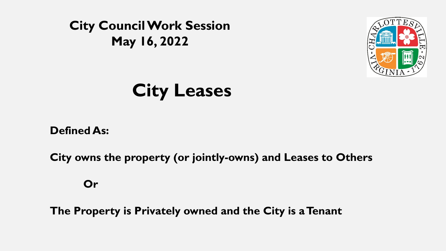



# **City Leases**

**Defined As:** 

**City owns the property (or jointly-owns) and Leases to Others**

**Or**

**The Property is Privately owned and the City is a Tenant**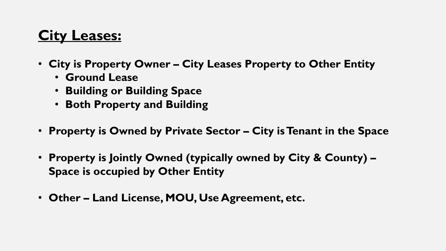# **City Leases:**

- **City is Property Owner – City Leases Property to Other Entity**
	- **Ground Lease**
	- **Building or Building Space**
	- **Both Property and Building**
- **Property is Owned by Private Sector – City is Tenant in the Space**
- **Property is Jointly Owned (typically owned by City & County) – Space is occupied by Other Entity**
- **Other – Land License, MOU, Use Agreement, etc.**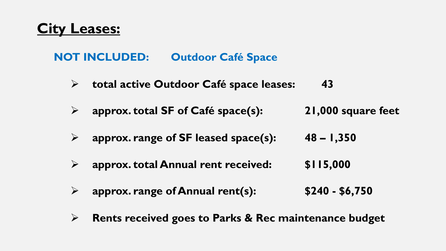### **City Leases:**

#### **NOT INCLUDED: Outdoor Café Space**

- Ø **total active Outdoor Café space leases: 43**
- Ø **approx. total SF of Café space(s): 21,000 square feet**
- Ø **approx. range of SF leased space(s): 48 – 1,350**
- Ø **approx. total Annual rent received: \$115,000**
- Ø **approx. range of Annual rent(s): \$240 - \$6,750**
- Ø **Rents received goes to Parks & Rec maintenance budget**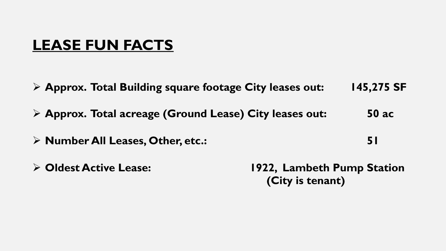# **LEASE FUN FACTS**

- Ø **Approx. Total Building square footage City leases out: 145,275 SF**
- Ø **Approx. Total acreage (Ground Lease) City leases out: 50 ac**
- Ø **Number All Leases, Other, etc.: 51**
- 

Ø **Oldest Active Lease: 1922, Lambeth Pump Station (City is tenant)**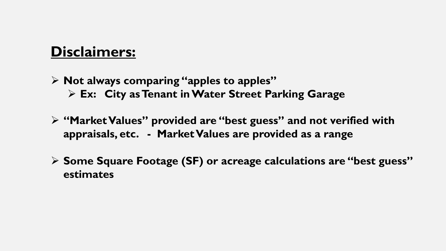# **Disclaimers:**

- Ø **Not always comparing "apples to apples"** Ø **Ex: City as Tenant in Water Street Parking Garage**
- Ø **"Market Values" provided are "best guess" and not verified with appraisals, etc. - Market Values are provided as a range**
- Ø **Some Square Footage (SF) or acreage calculations are "best guess" estimates**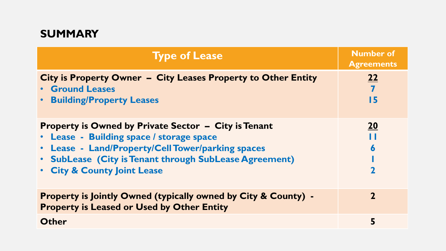#### **SUMMARY**

| <b>Type of Lease</b>                                                                                                                                                                                                                                             | <b>Number of</b><br><b>Agreements</b> |
|------------------------------------------------------------------------------------------------------------------------------------------------------------------------------------------------------------------------------------------------------------------|---------------------------------------|
| City is Property Owner - City Leases Property to Other Entity<br><b>• Ground Leases</b><br><b>Building/Property Leases</b>                                                                                                                                       | 22<br>$\overline{7}$<br>15            |
| <b>Property is Owned by Private Sector - City is Tenant</b><br>• Lease - Building space / storage space<br>Lease - Land/Property/Cell Tower/parking spaces<br>$\bullet$<br>• SubLease (City is Tenant through SubLease Agreement)<br>. City & County Joint Lease | <b>20</b><br>6<br>2                   |
| <b>Property is Jointly Owned (typically owned by City &amp; County) -</b><br><b>Property is Leased or Used by Other Entity</b>                                                                                                                                   | $\mathbf 2$                           |
| <b>Other</b>                                                                                                                                                                                                                                                     | 5                                     |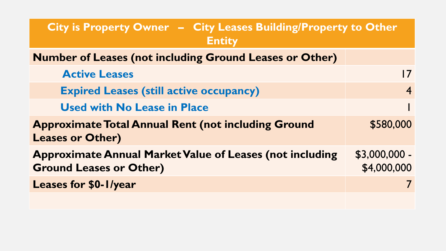| City is Property Owner - City Leases Building/Property to Other<br><b>Entity</b>                  |                              |
|---------------------------------------------------------------------------------------------------|------------------------------|
| <b>Number of Leases (not including Ground Leases or Other)</b>                                    |                              |
| <b>Active Leases</b>                                                                              | <u>17</u>                    |
| <b>Expired Leases (still active occupancy)</b>                                                    | $\overline{4}$               |
| <b>Used with No Lease in Place</b>                                                                |                              |
| <b>Approximate Total Annual Rent (not including Ground</b><br><b>Leases or Other)</b>             | \$580,000                    |
| <b>Approximate Annual Market Value of Leases (not including</b><br><b>Ground Leases or Other)</b> | \$3,000,000 -<br>\$4,000,000 |
| <b>Leases for \$0-1/year</b>                                                                      |                              |
|                                                                                                   |                              |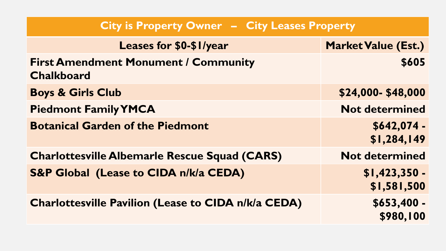| City is Property Owner - City Leases Property                    |                                 |
|------------------------------------------------------------------|---------------------------------|
| <b>Leases for \$0-\$1/year</b>                                   | <b>Market Value (Est.)</b>      |
| <b>First Amendment Monument / Community</b><br><b>Chalkboard</b> | \$605                           |
| <b>Boys &amp; Girls Club</b>                                     | \$24,000-\$48,000               |
| <b>Piedmont Family YMCA</b>                                      | <b>Not determined</b>           |
| <b>Botanical Garden of the Piedmont</b>                          | $$642,074-$<br>\$1,284,149      |
| <b>Charlottesville Albemarle Rescue Squad (CARS)</b>             | <b>Not determined</b>           |
| <b>S&amp;P Global (Lease to CIDA n/k/a CEDA)</b>                 | $$1,423,350 -$<br>\$1,581,500   |
| <b>Charlottesville Pavilion (Lease to CIDA n/k/a CEDA)</b>       | \$653,400 -<br><b>\$980,100</b> |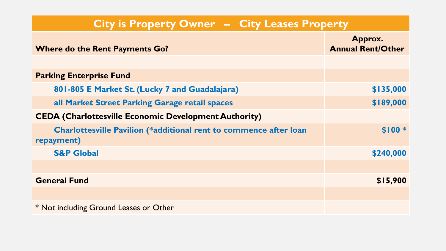| City is Property Owner - City Leases Property                                          |                                     |
|----------------------------------------------------------------------------------------|-------------------------------------|
| <b>Where do the Rent Payments Go?</b>                                                  | Approx.<br><b>Annual Rent/Other</b> |
|                                                                                        |                                     |
| <b>Parking Enterprise Fund</b>                                                         |                                     |
| 801-805 E Market St. (Lucky 7 and Guadalajara)                                         | \$135,000                           |
| all Market Street Parking Garage retail spaces                                         | \$189,000                           |
| <b>CEDA (Charlottesville Economic Development Authority)</b>                           |                                     |
| <b>Charlottesville Pavilion (*additional rent to commence after loan</b><br>repayment) | <b>SIOO*</b>                        |
| <b>S&amp;P Global</b>                                                                  | \$240,000                           |
|                                                                                        |                                     |
| <b>General Fund</b>                                                                    | \$15,900                            |
|                                                                                        |                                     |
| * Not including Ground Leases or Other                                                 |                                     |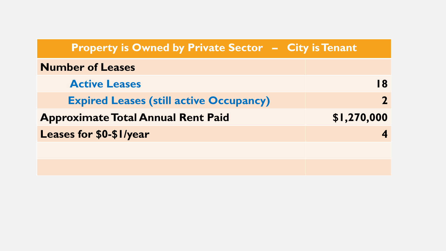| <b>Property is Owned by Private Sector - City is Tenant</b> |             |
|-------------------------------------------------------------|-------------|
| <b>Number of Leases</b>                                     |             |
| <b>Active Leases</b>                                        | <b>18</b>   |
| <b>Expired Leases (still active Occupancy)</b>              |             |
| <b>Approximate Total Annual Rent Paid</b>                   | \$1,270,000 |
| <b>Leases for \$0-\$1/year</b>                              |             |
|                                                             |             |
|                                                             |             |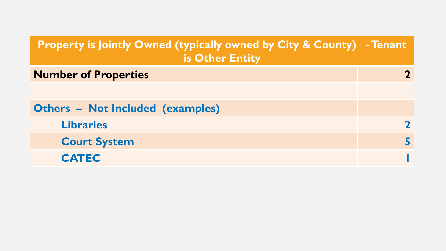| <b>Property is Jointly Owned (typically owned by City &amp; County) - Tenant</b><br>is Other Entity |  |
|-----------------------------------------------------------------------------------------------------|--|
| <b>Number of Properties</b>                                                                         |  |
|                                                                                                     |  |
| <b>Others - Not Included (examples)</b>                                                             |  |
| <b>Libraries</b>                                                                                    |  |
| <b>Court System</b>                                                                                 |  |
| <b>CATEC</b>                                                                                        |  |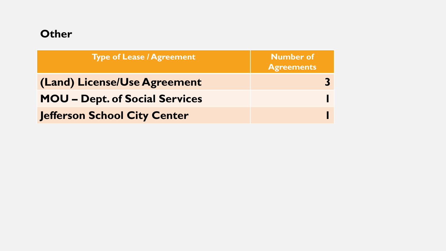#### **Other**

| <b>Type of Lease / Agreement</b>      | <b>Number of</b><br><b>Agreements</b> |
|---------------------------------------|---------------------------------------|
| (Land) License/Use Agreement          |                                       |
| <b>MOU - Dept. of Social Services</b> |                                       |
| Jefferson School City Center          |                                       |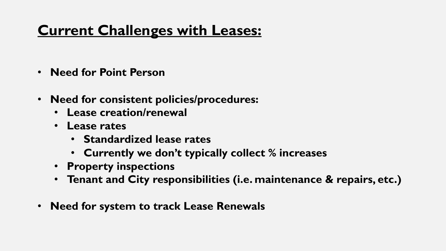# **Current Challenges with Leases:**

- **Need for Point Person**
- **Need for consistent policies/procedures:**
	- **Lease creation/renewal**
	- **Lease rates**
		- **Standardized lease rates**
		- **Currently we don't typically collect % increases**
	- **Property inspections**
	- **Tenant and City responsibilities (i.e. maintenance & repairs, etc.)**
- **Need for system to track Lease Renewals**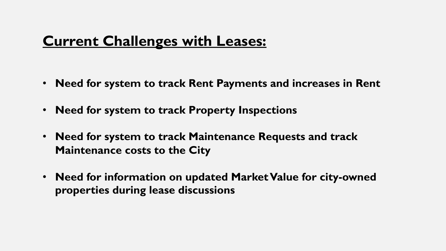# **Current Challenges with Leases:**

- **Need for system to track Rent Payments and increases in Rent**
- **Need for system to track Property Inspections**
- **Need for system to track Maintenance Requests and track Maintenance costs to the City**
- **Need for information on updated Market Value for city-owned properties during lease discussions**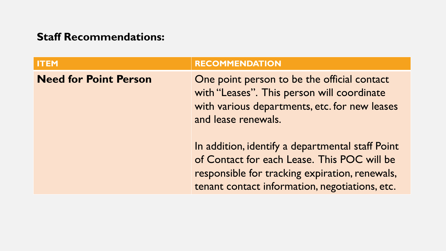| <b>ITEM</b>                  | <b>RECOMMENDATION</b>                                                                                                                                                                               |
|------------------------------|-----------------------------------------------------------------------------------------------------------------------------------------------------------------------------------------------------|
| <b>Need for Point Person</b> | One point person to be the official contact<br>with "Leases". This person will coordinate<br>with various departments, etc. for new leases<br>and lease renewals.                                   |
|                              | In addition, identify a departmental staff Point<br>of Contact for each Lease. This POC will be<br>responsible for tracking expiration, renewals,<br>tenant contact information, negotiations, etc. |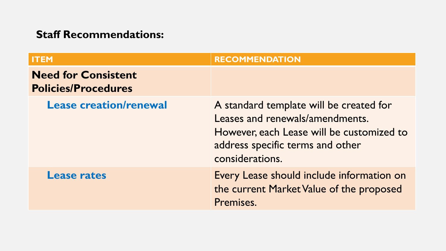| <b>ITEM</b>                                              | <b>RECOMMENDATION</b>                                                                                                                                                          |
|----------------------------------------------------------|--------------------------------------------------------------------------------------------------------------------------------------------------------------------------------|
| <b>Need for Consistent</b><br><b>Policies/Procedures</b> |                                                                                                                                                                                |
| <b>Lease creation/renewal</b>                            | A standard template will be created for<br>Leases and renewals/amendments.<br>However, each Lease will be customized to<br>address specific terms and other<br>considerations. |
| <b>Lease rates</b>                                       | Every Lease should include information on<br>the current Market Value of the proposed<br>Premises.                                                                             |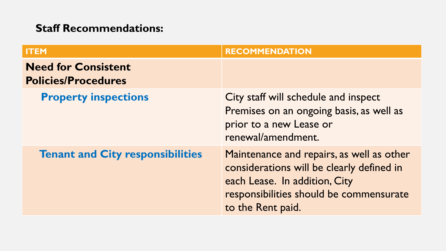| <b>ITEM</b>                                              | <b>RECOMMENDATION</b>                                                                                                                                                                   |
|----------------------------------------------------------|-----------------------------------------------------------------------------------------------------------------------------------------------------------------------------------------|
| <b>Need for Consistent</b><br><b>Policies/Procedures</b> |                                                                                                                                                                                         |
| <b>Property inspections</b>                              | City staff will schedule and inspect<br>Premises on an ongoing basis, as well as<br>prior to a new Lease or<br>renewal/amendment.                                                       |
| <b>Tenant and City responsibilities</b>                  | Maintenance and repairs, as well as other<br>considerations will be clearly defined in<br>each Lease. In addition, City<br>responsibilities should be commensurate<br>to the Rent paid. |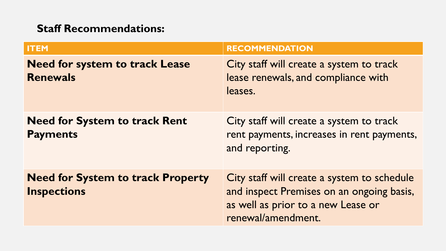| <b>ITEM</b>                                                    | <b>RECOMMENDATION</b>                                                                                                                                |
|----------------------------------------------------------------|------------------------------------------------------------------------------------------------------------------------------------------------------|
| <b>Need for system to track Lease</b><br><b>Renewals</b>       | City staff will create a system to track<br>lease renewals, and compliance with<br>leases.                                                           |
| <b>Need for System to track Rent</b><br><b>Payments</b>        | City staff will create a system to track<br>rent payments, increases in rent payments,<br>and reporting.                                             |
| <b>Need for System to track Property</b><br><b>Inspections</b> | City staff will create a system to schedule<br>and inspect Premises on an ongoing basis,<br>as well as prior to a new Lease or<br>renewal/amendment. |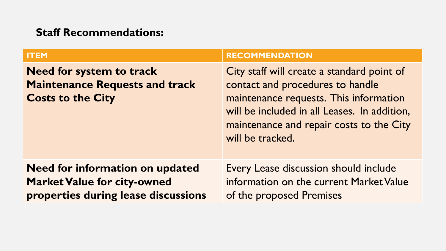| <b>ITEM</b>                                                                                                         | <b>RECOMMENDATION</b>                                                                                                                                                                                                                    |
|---------------------------------------------------------------------------------------------------------------------|------------------------------------------------------------------------------------------------------------------------------------------------------------------------------------------------------------------------------------------|
| <b>Need for system to track</b><br><b>Maintenance Requests and track</b><br><b>Costs to the City</b>                | City staff will create a standard point of<br>contact and procedures to handle<br>maintenance requests. This information<br>will be included in all Leases. In addition,<br>maintenance and repair costs to the City<br>will be tracked. |
| <b>Need for information on updated</b><br><b>Market Value for city-owned</b><br>properties during lease discussions | Every Lease discussion should include<br>information on the current Market Value<br>of the proposed Premises                                                                                                                             |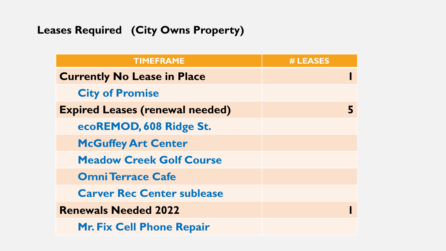### **Leases Required (City Owns Property)**

| <b>TIMEFRAME</b>                       | # LEASES |
|----------------------------------------|----------|
| <b>Currently No Lease in Place</b>     |          |
| <b>City of Promise</b>                 |          |
| <b>Expired Leases (renewal needed)</b> |          |
| ecoREMOD, 608 Ridge St.                |          |
| <b>McGuffey Art Center</b>             |          |
| <b>Meadow Creek Golf Course</b>        |          |
| <b>Omni Terrace Cafe</b>               |          |
| <b>Carver Rec Center sublease</b>      |          |
| <b>Renewals Needed 2022</b>            |          |
| <b>Mr. Fix Cell Phone Repair</b>       |          |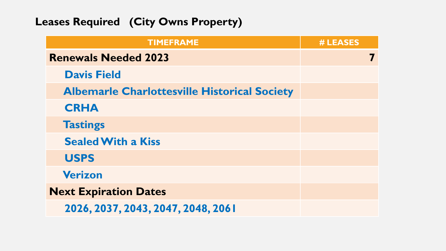### **Leases Required (City Owns Property)**

| <b>TIMEFRAME</b>                                    | # LEASES |
|-----------------------------------------------------|----------|
| <b>Renewals Needed 2023</b>                         |          |
| <b>Davis Field</b>                                  |          |
| <b>Albemarle Charlottesville Historical Society</b> |          |
| <b>CRHA</b>                                         |          |
| <b>Tastings</b>                                     |          |
| <b>Sealed With a Kiss</b>                           |          |
| <b>USPS</b>                                         |          |
| <b>Verizon</b>                                      |          |
| <b>Next Expiration Dates</b>                        |          |
| 2026, 2037, 2043, 2047, 2048, 2061                  |          |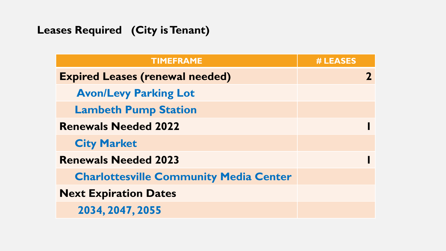### **Leases Required (City is Tenant)**

| <b>TIMEFRAME</b>                              | # LEASES |  |
|-----------------------------------------------|----------|--|
| <b>Expired Leases (renewal needed)</b>        |          |  |
| <b>Avon/Levy Parking Lot</b>                  |          |  |
| <b>Lambeth Pump Station</b>                   |          |  |
| <b>Renewals Needed 2022</b>                   |          |  |
| <b>City Market</b>                            |          |  |
| <b>Renewals Needed 2023</b>                   |          |  |
| <b>Charlottesville Community Media Center</b> |          |  |
| <b>Next Expiration Dates</b>                  |          |  |
| 2034, 2047, 2055                              |          |  |